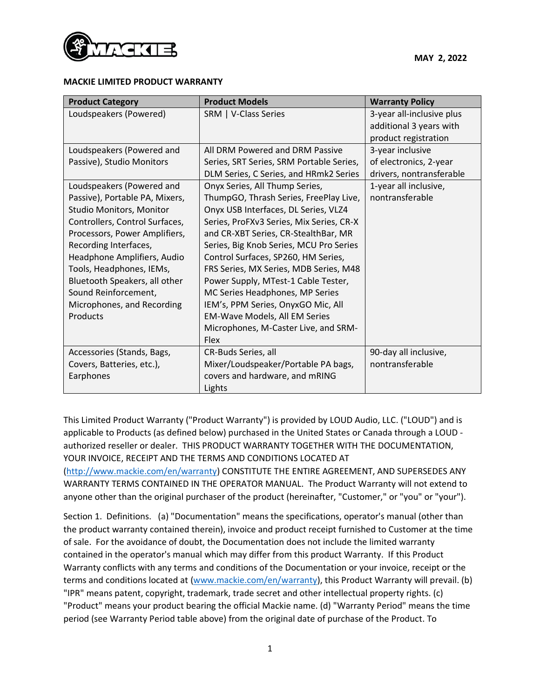

## **MACKIE LIMITED PRODUCT WARRANTY**

| <b>Product Category</b>        | <b>Product Models</b>                    | <b>Warranty Policy</b>    |
|--------------------------------|------------------------------------------|---------------------------|
| Loudspeakers (Powered)         | SRM   V-Class Series                     | 3-year all-inclusive plus |
|                                |                                          | additional 3 years with   |
|                                |                                          | product registration      |
| Loudspeakers (Powered and      | All DRM Powered and DRM Passive          | 3-year inclusive          |
| Passive), Studio Monitors      | Series, SRT Series, SRM Portable Series, | of electronics, 2-year    |
|                                | DLM Series, C Series, and HRmk2 Series   | drivers, nontransferable  |
| Loudspeakers (Powered and      | Onyx Series, All Thump Series,           | 1-year all inclusive,     |
| Passive), Portable PA, Mixers, | ThumpGO, Thrash Series, FreePlay Live,   | nontransferable           |
| Studio Monitors, Monitor       | Onyx USB Interfaces, DL Series, VLZ4     |                           |
| Controllers, Control Surfaces, | Series, ProFXv3 Series, Mix Series, CR-X |                           |
| Processors, Power Amplifiers,  | and CR-XBT Series, CR-StealthBar, MR     |                           |
| Recording Interfaces,          | Series, Big Knob Series, MCU Pro Series  |                           |
| Headphone Amplifiers, Audio    | Control Surfaces, SP260, HM Series,      |                           |
| Tools, Headphones, IEMs,       | FRS Series, MX Series, MDB Series, M48   |                           |
| Bluetooth Speakers, all other  | Power Supply, MTest-1 Cable Tester,      |                           |
| Sound Reinforcement,           | MC Series Headphones, MP Series          |                           |
| Microphones, and Recording     | IEM's, PPM Series, OnyxGO Mic, All       |                           |
| Products                       | EM-Wave Models, All EM Series            |                           |
|                                | Microphones, M-Caster Live, and SRM-     |                           |
|                                | <b>Flex</b>                              |                           |
| Accessories (Stands, Bags,     | CR-Buds Series, all                      | 90-day all inclusive,     |
| Covers, Batteries, etc.),      | Mixer/Loudspeaker/Portable PA bags,      | nontransferable           |
| Earphones                      | covers and hardware, and mRING           |                           |
|                                | Lights                                   |                           |

This Limited Product Warranty ("Product Warranty") is provided by LOUD Audio, LLC. ("LOUD") and is applicable to Products (as defined below) purchased in the United States or Canada through a LOUD authorized reseller or dealer. THIS PRODUCT WARRANTY TOGETHER WITH THE DOCUMENTATION, YOUR INVOICE, RECEIPT AND THE TERMS AND CONDITIONS LOCATED AT

[\(http://www.mackie.com/en/warranty\)](http://www.mackie.com/en/warranty) CONSTITUTE THE ENTIRE AGREEMENT, AND SUPERSEDES ANY WARRANTY TERMS CONTAINED IN THE OPERATOR MANUAL. The Product Warranty will not extend to anyone other than the original purchaser of the product (hereinafter, "Customer," or "you" or "your").

Section 1. Definitions. (a) "Documentation" means the specifications, operator's manual (other than the product warranty contained therein), invoice and product receipt furnished to Customer at the time of sale. For the avoidance of doubt, the Documentation does not include the limited warranty contained in the operator's manual which may differ from this product Warranty. If this Product Warranty conflicts with any terms and conditions of the Documentation or your invoice, receipt or the terms and conditions located at [\(www.mackie.com/en/warranty\)](http://www.mackie.com/en/warranty), this Product Warranty will prevail. (b) "IPR" means patent, copyright, trademark, trade secret and other intellectual property rights. (c) "Product" means your product bearing the official Mackie name. (d) "Warranty Period" means the time period (see Warranty Period table above) from the original date of purchase of the Product. To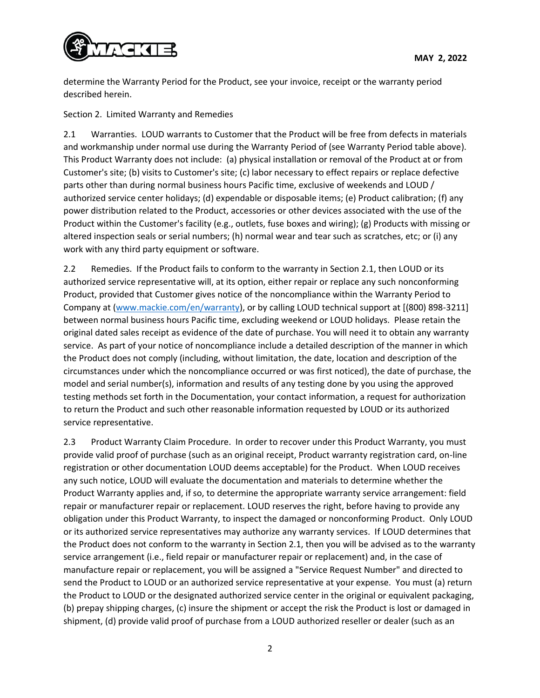

determine the Warranty Period for the Product, see your invoice, receipt or the warranty period described herein.

Section 2. Limited Warranty and Remedies

2.1 Warranties. LOUD warrants to Customer that the Product will be free from defects in materials and workmanship under normal use during the Warranty Period of (see Warranty Period table above). This Product Warranty does not include: (a) physical installation or removal of the Product at or from Customer's site; (b) visits to Customer's site; (c) labor necessary to effect repairs or replace defective parts other than during normal business hours Pacific time, exclusive of weekends and LOUD / authorized service center holidays; (d) expendable or disposable items; (e) Product calibration; (f) any power distribution related to the Product, accessories or other devices associated with the use of the Product within the Customer's facility (e.g., outlets, fuse boxes and wiring); (g) Products with missing or altered inspection seals or serial numbers; (h) normal wear and tear such as scratches, etc; or (i) any work with any third party equipment or software.

2.2 Remedies. If the Product fails to conform to the warranty in Section 2.1, then LOUD or its authorized service representative will, at its option, either repair or replace any such nonconforming Product, provided that Customer gives notice of the noncompliance within the Warranty Period to Company at [\(www.mackie.com/en/warranty\)](http://www.mackie.com/en/warranty), or by calling LOUD technical support at [(800) 898-3211] between normal business hours Pacific time, excluding weekend or LOUD holidays. Please retain the original dated sales receipt as evidence of the date of purchase. You will need it to obtain any warranty service. As part of your notice of noncompliance include a detailed description of the manner in which the Product does not comply (including, without limitation, the date, location and description of the circumstances under which the noncompliance occurred or was first noticed), the date of purchase, the model and serial number(s), information and results of any testing done by you using the approved testing methods set forth in the Documentation, your contact information, a request for authorization to return the Product and such other reasonable information requested by LOUD or its authorized service representative.

2.3 Product Warranty Claim Procedure. In order to recover under this Product Warranty, you must provide valid proof of purchase (such as an original receipt, Product warranty registration card, on-line registration or other documentation LOUD deems acceptable) for the Product. When LOUD receives any such notice, LOUD will evaluate the documentation and materials to determine whether the Product Warranty applies and, if so, to determine the appropriate warranty service arrangement: field repair or manufacturer repair or replacement. LOUD reserves the right, before having to provide any obligation under this Product Warranty, to inspect the damaged or nonconforming Product. Only LOUD or its authorized service representatives may authorize any warranty services. If LOUD determines that the Product does not conform to the warranty in Section 2.1, then you will be advised as to the warranty service arrangement (i.e., field repair or manufacturer repair or replacement) and, in the case of manufacture repair or replacement, you will be assigned a "Service Request Number" and directed to send the Product to LOUD or an authorized service representative at your expense. You must (a) return the Product to LOUD or the designated authorized service center in the original or equivalent packaging, (b) prepay shipping charges, (c) insure the shipment or accept the risk the Product is lost or damaged in shipment, (d) provide valid proof of purchase from a LOUD authorized reseller or dealer (such as an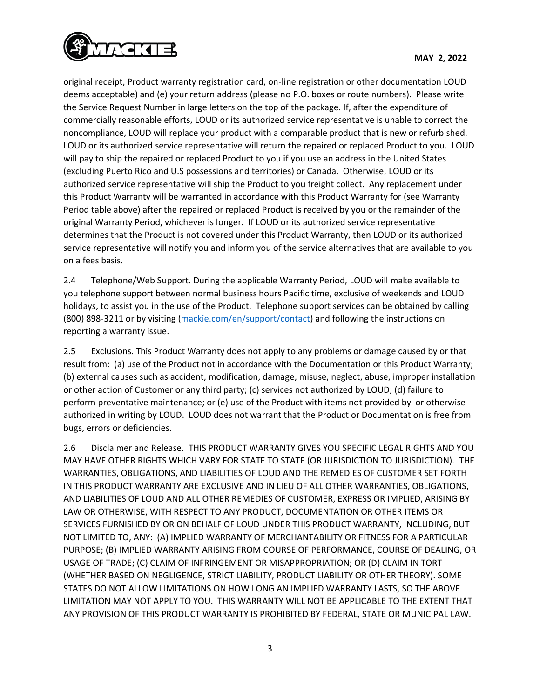

original receipt, Product warranty registration card, on-line registration or other documentation LOUD deems acceptable) and (e) your return address (please no P.O. boxes or route numbers). Please write the Service Request Number in large letters on the top of the package. If, after the expenditure of commercially reasonable efforts, LOUD or its authorized service representative is unable to correct the noncompliance, LOUD will replace your product with a comparable product that is new or refurbished. LOUD or its authorized service representative will return the repaired or replaced Product to you. LOUD will pay to ship the repaired or replaced Product to you if you use an address in the United States (excluding Puerto Rico and U.S possessions and territories) or Canada. Otherwise, LOUD or its authorized service representative will ship the Product to you freight collect. Any replacement under this Product Warranty will be warranted in accordance with this Product Warranty for (see Warranty Period table above) after the repaired or replaced Product is received by you or the remainder of the original Warranty Period, whichever is longer. If LOUD or its authorized service representative determines that the Product is not covered under this Product Warranty, then LOUD or its authorized service representative will notify you and inform you of the service alternatives that are available to you on a fees basis.

2.4 Telephone/Web Support. During the applicable Warranty Period, LOUD will make available to you telephone support between normal business hours Pacific time, exclusive of weekends and LOUD holidays, to assist you in the use of the Product. Telephone support services can be obtained by calling (800) 898-3211 or by visiting [\(mackie.com/en/support/contact\)](https://mackie.com/en/support/contact) and following the instructions on reporting a warranty issue.

2.5 Exclusions. This Product Warranty does not apply to any problems or damage caused by or that result from: (a) use of the Product not in accordance with the Documentation or this Product Warranty; (b) external causes such as accident, modification, damage, misuse, neglect, abuse, improper installation or other action of Customer or any third party; (c) services not authorized by LOUD; (d) failure to perform preventative maintenance; or (e) use of the Product with items not provided by or otherwise authorized in writing by LOUD. LOUD does not warrant that the Product or Documentation is free from bugs, errors or deficiencies.

2.6 Disclaimer and Release. THIS PRODUCT WARRANTY GIVES YOU SPECIFIC LEGAL RIGHTS AND YOU MAY HAVE OTHER RIGHTS WHICH VARY FOR STATE TO STATE (OR JURISDICTION TO JURISDICTION). THE WARRANTIES, OBLIGATIONS, AND LIABILITIES OF LOUD AND THE REMEDIES OF CUSTOMER SET FORTH IN THIS PRODUCT WARRANTY ARE EXCLUSIVE AND IN LIEU OF ALL OTHER WARRANTIES, OBLIGATIONS, AND LIABILITIES OF LOUD AND ALL OTHER REMEDIES OF CUSTOMER, EXPRESS OR IMPLIED, ARISING BY LAW OR OTHERWISE, WITH RESPECT TO ANY PRODUCT, DOCUMENTATION OR OTHER ITEMS OR SERVICES FURNISHED BY OR ON BEHALF OF LOUD UNDER THIS PRODUCT WARRANTY, INCLUDING, BUT NOT LIMITED TO, ANY: (A) IMPLIED WARRANTY OF MERCHANTABILITY OR FITNESS FOR A PARTICULAR PURPOSE; (B) IMPLIED WARRANTY ARISING FROM COURSE OF PERFORMANCE, COURSE OF DEALING, OR USAGE OF TRADE; (C) CLAIM OF INFRINGEMENT OR MISAPPROPRIATION; OR (D) CLAIM IN TORT (WHETHER BASED ON NEGLIGENCE, STRICT LIABILITY, PRODUCT LIABILITY OR OTHER THEORY). SOME STATES DO NOT ALLOW LIMITATIONS ON HOW LONG AN IMPLIED WARRANTY LASTS, SO THE ABOVE LIMITATION MAY NOT APPLY TO YOU. THIS WARRANTY WILL NOT BE APPLICABLE TO THE EXTENT THAT ANY PROVISION OF THIS PRODUCT WARRANTY IS PROHIBITED BY FEDERAL, STATE OR MUNICIPAL LAW.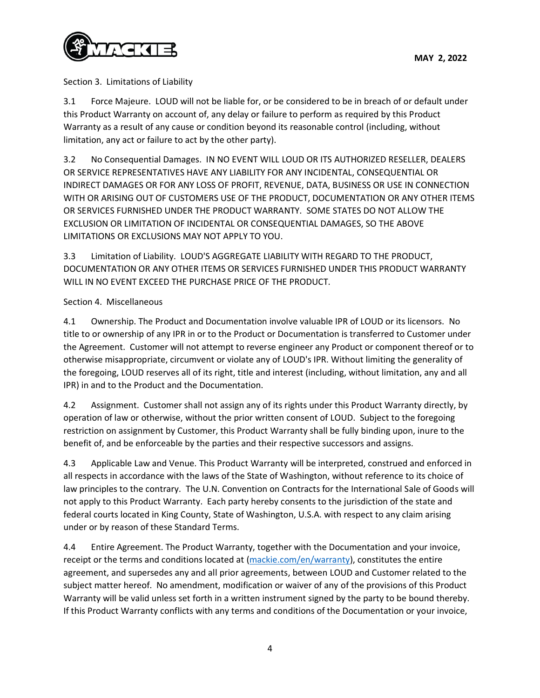

Section 3. Limitations of Liability

3.1 Force Majeure. LOUD will not be liable for, or be considered to be in breach of or default under this Product Warranty on account of, any delay or failure to perform as required by this Product Warranty as a result of any cause or condition beyond its reasonable control (including, without limitation, any act or failure to act by the other party).

3.2 No Consequential Damages. IN NO EVENT WILL LOUD OR ITS AUTHORIZED RESELLER, DEALERS OR SERVICE REPRESENTATIVES HAVE ANY LIABILITY FOR ANY INCIDENTAL, CONSEQUENTIAL OR INDIRECT DAMAGES OR FOR ANY LOSS OF PROFIT, REVENUE, DATA, BUSINESS OR USE IN CONNECTION WITH OR ARISING OUT OF CUSTOMERS USE OF THE PRODUCT, DOCUMENTATION OR ANY OTHER ITEMS OR SERVICES FURNISHED UNDER THE PRODUCT WARRANTY. SOME STATES DO NOT ALLOW THE EXCLUSION OR LIMITATION OF INCIDENTAL OR CONSEQUENTIAL DAMAGES, SO THE ABOVE LIMITATIONS OR EXCLUSIONS MAY NOT APPLY TO YOU.

3.3 Limitation of Liability. LOUD'S AGGREGATE LIABILITY WITH REGARD TO THE PRODUCT, DOCUMENTATION OR ANY OTHER ITEMS OR SERVICES FURNISHED UNDER THIS PRODUCT WARRANTY WILL IN NO EVENT EXCEED THE PURCHASE PRICE OF THE PRODUCT.

## Section 4. Miscellaneous

4.1 Ownership. The Product and Documentation involve valuable IPR of LOUD or its licensors. No title to or ownership of any IPR in or to the Product or Documentation is transferred to Customer under the Agreement. Customer will not attempt to reverse engineer any Product or component thereof or to otherwise misappropriate, circumvent or violate any of LOUD's IPR. Without limiting the generality of the foregoing, LOUD reserves all of its right, title and interest (including, without limitation, any and all IPR) in and to the Product and the Documentation.

4.2 Assignment. Customer shall not assign any of its rights under this Product Warranty directly, by operation of law or otherwise, without the prior written consent of LOUD. Subject to the foregoing restriction on assignment by Customer, this Product Warranty shall be fully binding upon, inure to the benefit of, and be enforceable by the parties and their respective successors and assigns.

4.3 Applicable Law and Venue. This Product Warranty will be interpreted, construed and enforced in all respects in accordance with the laws of the State of Washington, without reference to its choice of law principles to the contrary. The U.N. Convention on Contracts for the International Sale of Goods will not apply to this Product Warranty. Each party hereby consents to the jurisdiction of the state and federal courts located in King County, State of Washington, U.S.A. with respect to any claim arising under or by reason of these Standard Terms.

4.4 Entire Agreement. The Product Warranty, together with the Documentation and your invoice, receipt or the terms and conditions located at [\(mackie.com/en/warranty\)](http://www.mackie.com/en/warranty), constitutes the entire agreement, and supersedes any and all prior agreements, between LOUD and Customer related to the subject matter hereof. No amendment, modification or waiver of any of the provisions of this Product Warranty will be valid unless set forth in a written instrument signed by the party to be bound thereby. If this Product Warranty conflicts with any terms and conditions of the Documentation or your invoice,